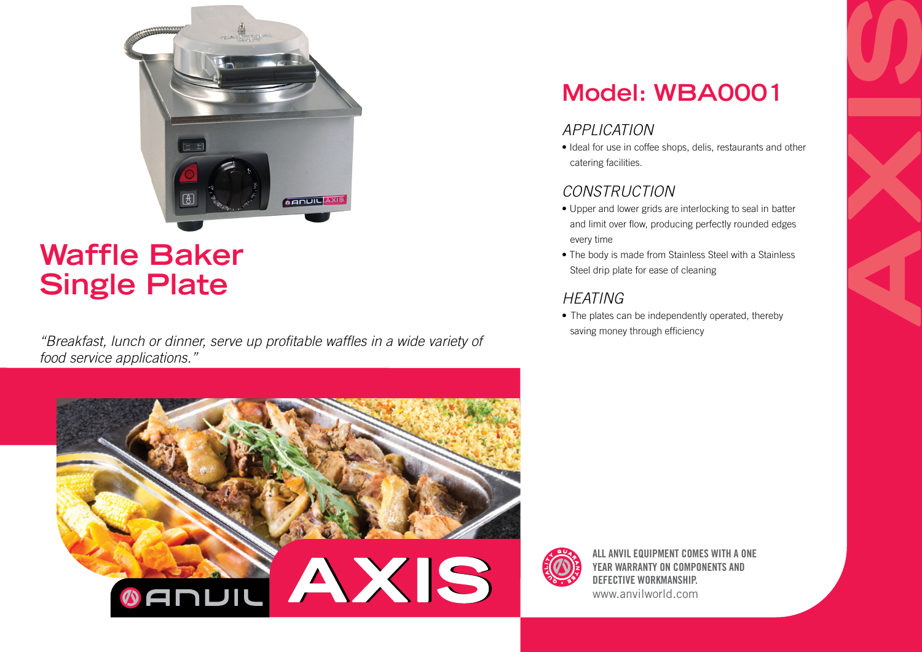

# **Waffle Baker Single Plate**

*"Breakfast, lunch or dinner, serve up profitable waffles in a wide variety of food service applications."*



## **Model: WBA0001**

### *APPLICATION*

• Ideal for use in coffee shops, delis, restaurants and other catering facilities.

#### *CONSTRUCTION*

- Upper and lower grids are interlocking to seal in batter and limit over flow, producing perfectly rounded edges every time
- The body is made from Stainless Steel with a Stainless Steel drip plate for ease of cleaning

#### *HEATING*

• The plates can be independently operated, thereby saving money through efficiency



ALL ANVIL EQUIPMENT COMES WITH A ONE YEAR WARRANTY ON COMPONENTS AND DEFECTIVE WORKMANSHIP. www.anvilworld.com